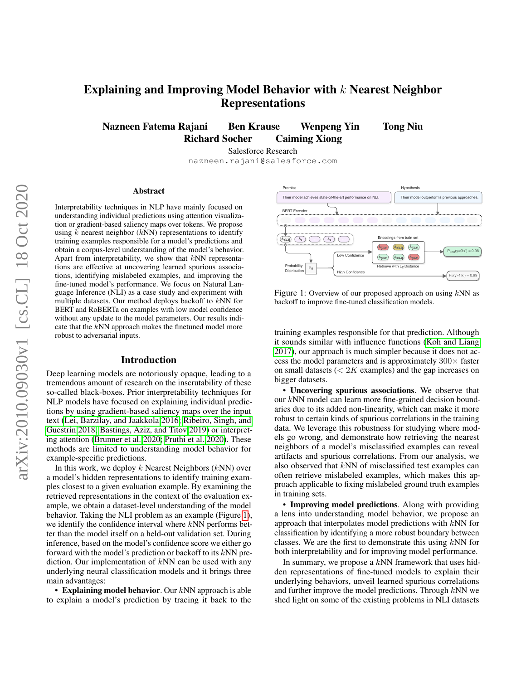# Explaining and Improving Model Behavior with  $k$  Nearest Neighbor Representations

Nazneen Fatema Rajani Ben Krause Wenpeng Yin Tong Niu Richard Socher Caiming Xiong

Salesforce Research

nazneen.rajani@salesforce.com

#### Abstract

Interpretability techniques in NLP have mainly focused on understanding individual predictions using attention visualization or gradient-based saliency maps over tokens. We propose using  $k$  nearest neighbor ( $kNN$ ) representations to identify training examples responsible for a model's predictions and obtain a corpus-level understanding of the model's behavior. Apart from interpretability, we show that  $kNN$  representations are effective at uncovering learned spurious associations, identifying mislabeled examples, and improving the fine-tuned model's performance. We focus on Natural Language Inference (NLI) as a case study and experiment with multiple datasets. Our method deploys backoff to kNN for BERT and RoBERTa on examples with low model confidence without any update to the model parameters. Our results indicate that the kNN approach makes the finetuned model more robust to adversarial inputs.

#### Introduction

Deep learning models are notoriously opaque, leading to a tremendous amount of research on the inscrutability of these so-called black-boxes. Prior interpretability techniques for NLP models have focused on explaining individual predictions by using gradient-based saliency maps over the input text [\(Lei, Barzilay, and Jaakkola 2016;](#page-7-0) [Ribeiro, Singh, and](#page-8-0) [Guestrin 2018;](#page-8-0) [Bastings, Aziz, and Titov 2019\)](#page-7-1) or interpreting attention [\(Brunner et al. 2020;](#page-7-2) [Pruthi et al. 2020\)](#page-7-3). These methods are limited to understanding model behavior for example-specific predictions.

In this work, we deploy  $k$  Nearest Neighbors ( $kNN$ ) over a model's hidden representations to identify training examples closest to a given evaluation example. By examining the retrieved representations in the context of the evaluation example, we obtain a dataset-level understanding of the model behavior. Taking the NLI problem as an example (Figure [1\)](#page-0-0), we identify the confidence interval where  $kNN$  performs better than the model itself on a held-out validation set. During inference, based on the model's confidence score we either go forward with the model's prediction or backoff to its  $kNN$  prediction. Our implementation of kNN can be used with any underlying neural classification models and it brings three main advantages:

• Explaining model behavior. Our  $kNN$  approach is able to explain a model's prediction by tracing it back to the

<span id="page-0-0"></span>

Figure 1: Overview of our proposed approach on using  $kNN$  as backoff to improve fine-tuned classification models.

training examples responsible for that prediction. Although it sounds similar with influence functions [\(Koh and Liang](#page-7-4) [2017\)](#page-7-4), our approach is much simpler because it does not access the model parameters and is approximately  $300 \times$  faster on small datasets  $\left($  < 2K examples) and the gap increases on bigger datasets.

• Uncovering spurious associations. We observe that our kNN model can learn more fine-grained decision boundaries due to its added non-linearity, which can make it more robust to certain kinds of spurious correlations in the training data. We leverage this robustness for studying where models go wrong, and demonstrate how retrieving the nearest neighbors of a model's misclassified examples can reveal artifacts and spurious correlations. From our analysis, we also observed that kNN of misclassified test examples can often retrieve mislabeled examples, which makes this approach applicable to fixing mislabeled ground truth examples in training sets.

• Improving model predictions. Along with providing a lens into understanding model behavior, we propose an approach that interpolates model predictions with kNN for classification by identifying a more robust boundary between classes. We are the first to demonstrate this using  $kNN$  for both interpretability and for improving model performance.

In summary, we propose a  $kNN$  framework that uses hidden representations of fine-tuned models to explain their underlying behaviors, unveil learned spurious correlations and further improve the model predictions. Through  $kNN$  we shed light on some of the existing problems in NLI datasets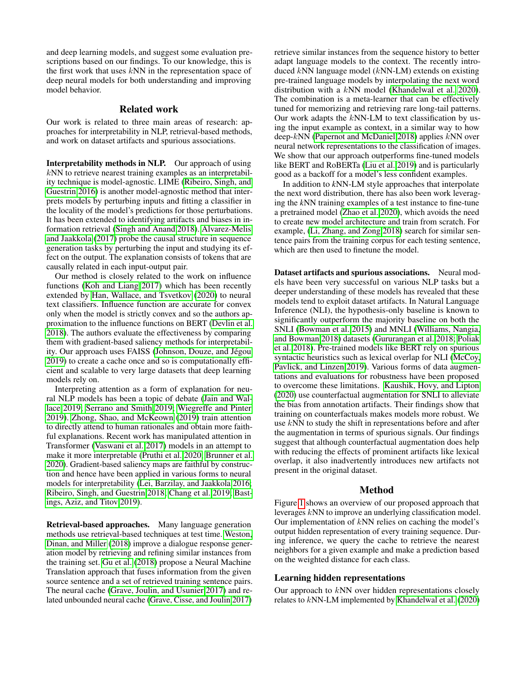and deep learning models, and suggest some evaluation prescriptions based on our findings. To our knowledge, this is the first work that uses  $kNN$  in the representation space of deep neural models for both understanding and improving model behavior.

## Related work

Our work is related to three main areas of research: approaches for interpretability in NLP, retrieval-based methods, and work on dataset artifacts and spurious associations.

Interpretability methods in NLP. Our approach of using  $k$ NN to retrieve nearest training examples as an interpretability technique is model-agnostic. LIME [\(Ribeiro, Singh, and](#page-7-5) [Guestrin 2016\)](#page-7-5) is another model-agnostic method that interprets models by perturbing inputs and fitting a classifier in the locality of the model's predictions for those perturbations. It has been extended to identifying artifacts and biases in information retrieval [\(Singh and Anand 2018\)](#page-8-1). [Alvarez-Melis](#page-7-6) [and Jaakkola](#page-7-6) [\(2017\)](#page-7-6) probe the causal structure in sequence generation tasks by perturbing the input and studying its effect on the output. The explanation consists of tokens that are causally related in each input-output pair.

Our method is closely related to the work on influence functions [\(Koh and Liang 2017\)](#page-7-4) which has been recently extended by [Han, Wallace, and Tsvetkov](#page-7-7) [\(2020\)](#page-7-7) to neural text classifiers. Influence function are accurate for convex only when the model is strictly convex and so the authors approximation to the influence functions on BERT [\(Devlin et al.](#page-7-8) [2018\)](#page-7-8). The authors evaluate the effectiveness by comparing them with gradient-based saliency methods for interpretability. Our approach uses FAISS (Johnson, Douze, and Jégou [2019\)](#page-7-9) to create a cache once and so is computationally efficient and scalable to very large datasets that deep learning models rely on.

Interpreting attention as a form of explanation for neural NLP models has been a topic of debate [\(Jain and Wal](#page-7-10)[lace 2019;](#page-7-10) [Serrano and Smith 2019;](#page-8-2) [Wiegreffe and Pinter](#page-8-3) [2019\)](#page-8-3). [Zhong, Shao, and McKeown](#page-8-4) [\(2019\)](#page-8-4) train attention to directly attend to human rationales and obtain more faithful explanations. Recent work has manipulated attention in Transformer [\(Vaswani et al. 2017\)](#page-8-5) models in an attempt to make it more interpretable [\(Pruthi et al. 2020;](#page-7-3) [Brunner et al.](#page-7-2) [2020\)](#page-7-2). Gradient-based saliency maps are faithful by construction and hence have been applied in various forms to neural models for interpretability [\(Lei, Barzilay, and Jaakkola 2016;](#page-7-0) [Ribeiro, Singh, and Guestrin 2018;](#page-8-0) [Chang et al. 2019;](#page-7-11) [Bast](#page-7-1)[ings, Aziz, and Titov 2019\)](#page-7-1).

Retrieval-based approaches. Many language generation methods use retrieval-based techniques at test time. [Weston,](#page-8-6) [Dinan, and Miller](#page-8-6) [\(2018\)](#page-8-6) improve a dialogue response generation model by retrieving and refining similar instances from the training set. [Gu et al.](#page-7-12) [\(2018\)](#page-7-12) propose a Neural Machine Translation approach that fuses information from the given source sentence and a set of retrieved training sentence pairs. The neural cache [\(Grave, Joulin, and Usunier 2017\)](#page-7-13) and related unbounded neural cache [\(Grave, Cisse, and Joulin 2017\)](#page-7-14) retrieve similar instances from the sequence history to better adapt language models to the context. The recently introduced kNN language model (kNN-LM) extends on existing pre-trained language models by interpolating the next word distribution with a  $kNN$  model [\(Khandelwal et al. 2020\)](#page-7-15). The combination is a meta-learner that can be effectively tuned for memorizing and retrieving rare long-tail patterns. Our work adapts the  $kNN-LM$  to text classification by using the input example as context, in a similar way to how deep-kNN [\(Papernot and McDaniel 2018\)](#page-7-16) applies kNN over neural network representations to the classification of images. We show that our approach outperforms fine-tuned models like BERT and RoBERTa [\(Liu et al. 2019\)](#page-7-17) and is particularly good as a backoff for a model's less confident examples.

In addition to *k*NN-LM style approaches that interpolate the next word distribution, there has also been work leveraging the *k*NN training examples of a test instance to fine-tune a pretrained model [\(Zhao et al. 2020\)](#page-8-7), which avoids the need to create new model architecture and train from scratch. For example, [\(Li, Zhang, and Zong 2018\)](#page-7-18) search for similar sentence pairs from the training corpus for each testing sentence, which are then used to finetune the model.

Dataset artifacts and spurious associations. Neural models have been very successful on various NLP tasks but a deeper understanding of these models has revealed that these models tend to exploit dataset artifacts. In Natural Language Inference (NLI), the hypothesis-only baseline is known to significantly outperform the majority baseline on both the SNLI [\(Bowman et al. 2015\)](#page-7-19) and MNLI [\(Williams, Nangia,](#page-8-8) [and Bowman 2018\)](#page-8-8) datasets [\(Gururangan et al. 2018;](#page-7-20) [Poliak](#page-7-21) [et al. 2018\)](#page-7-21). Pre-trained models like BERT rely on spurious syntactic heuristics such as lexical overlap for NLI [\(McCoy,](#page-7-22) [Pavlick, and Linzen 2019\)](#page-7-22). Various forms of data augmentations and evaluations for robustness have been proposed to overcome these limitations. [Kaushik, Hovy, and Lipton](#page-7-23) [\(2020\)](#page-7-23) use counterfactual augmentation for SNLI to alleviate the bias from annotation artifacts. Their findings show that training on counterfactuals makes models more robust. We use kNN to study the shift in representations before and after the augmentation in terms of spurious signals. Our findings suggest that although counterfactual augmentation does help with reducing the effects of prominent artifacts like lexical overlap, it also inadvertently introduces new artifacts not present in the original dataset.

### Method

Figure [1](#page-0-0) shows an overview of our proposed approach that leverages kNN to improve an underlying classification model. Our implementation of  $kNN$  relies on caching the model's output hidden representation of every training sequence. During inference, we query the cache to retrieve the nearest neighbors for a given example and make a prediction based on the weighted distance for each class.

## Learning hidden representations

Our approach to kNN over hidden representations closely relates to kNN-LM implemented by [Khandelwal et al.](#page-7-15) [\(2020\)](#page-7-15)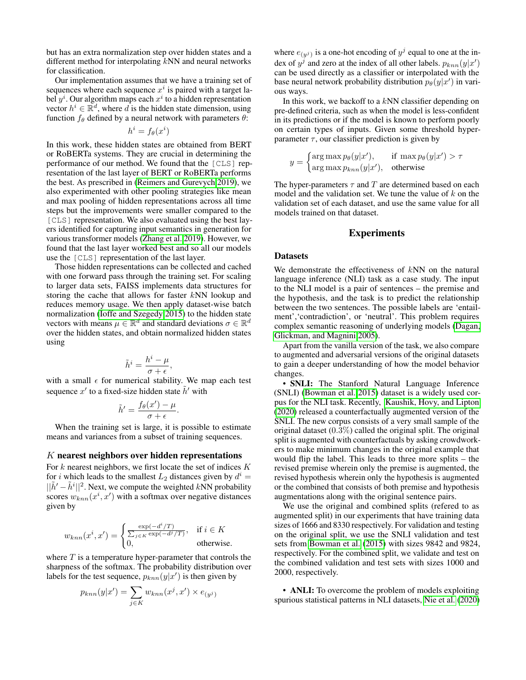but has an extra normalization step over hidden states and a different method for interpolating  $\bar{k}NN$  and neural networks for classification.

Our implementation assumes that we have a training set of sequences where each sequence  $x^i$  is paired with a target label  $y^i$ . Our algorithm maps each  $x^i$  to a hidden representation vector  $h^i \in \mathbb{R}^d$ , where d is the hidden state dimension, using function  $f_{\theta}$  defined by a neural network with parameters  $\theta$ :

$$
h^i = f_{\theta}(x^i)
$$

In this work, these hidden states are obtained from BERT or RoBERTa systems. They are crucial in determining the performance of our method. We found that the [CLS] representation of the last layer of BERT or RoBERTa performs the best. As prescribed in [\(Reimers and Gurevych 2019\)](#page-7-24), we also experimented with other pooling strategies like mean and max pooling of hidden representations across all time steps but the improvements were smaller compared to the [CLS] representation. We also evaluated using the best layers identified for capturing input semantics in generation for various transformer models [\(Zhang et al. 2019\)](#page-8-9). However, we found that the last layer worked best and so all our models use the [CLS] representation of the last layer.

Those hidden representations can be collected and cached with one forward pass through the training set. For scaling to larger data sets, FAISS implements data structures for storing the cache that allows for faster kNN lookup and reduces memory usage. We then apply dataset-wise batch normalization [\(Ioffe and Szegedy 2015\)](#page-7-25) to the hidden state vectors with means  $\mu \in \mathbb{R}^d$  and standard deviations  $\sigma \in \mathbb{R}^d$ over the hidden states, and obtain normalized hidden states using

$$
\tilde{h}^i = \frac{h^i - \mu}{\sigma + \epsilon},
$$

with a small  $\epsilon$  for numerical stability. We map each test sequence  $x'$  to a fixed-size hidden state  $\tilde{h}'$  with

$$
\tilde{h}' = \frac{f_{\theta}(x') - \mu}{\sigma + \epsilon}.
$$

When the training set is large, it is possible to estimate means and variances from a subset of training sequences.

### K nearest neighbors over hidden representations

For  $k$  nearest neighbors, we first locate the set of indices  $K$ for *i* which leads to the smallest  $L_2$  distances given by  $d^i =$  $||\tilde{h}' - \tilde{h}^i||^2$ . Next, we compute the weighted kNN probability scores  $w_{knn}(x^i, x')$  with a softmax over negative distances given by

$$
w_{knn}(x^i, x') = \begin{cases} \frac{\exp(-d^i/T)}{\sum_{j \in K} \exp(-d^j/T)}, & \text{if } i \in K \\ 0, & \text{otherwise.} \end{cases}
$$

where  $T$  is a temperature hyper-parameter that controls the sharpness of the softmax. The probability distribution over labels for the test sequence,  $p_{knn}(y|x')$  is then given by

$$
p_{knn}(y|x') = \sum_{j \in K} w_{knn}(x^j, x') \times e_{(y^j)}
$$

where  $e_{(y^j)}$  is a one-hot encoding of  $y^j$  equal to one at the index of  $y^j$  and zero at the index of all other labels.  $p_{knn}(y|x')$ can be used directly as a classifier or interpolated with the base neural network probability distribution  $p_{\theta}(y|x')$  in various ways.

In this work, we backoff to a  $kNN$  classifier depending on pre-defined criteria, such as when the model is less-confident in its predictions or if the model is known to perform poorly on certain types of inputs. Given some threshold hyperparameter  $\tau$ , our classifier prediction is given by

$$
y = \begin{cases} \arg \max p_{\theta}(y|x'), & \text{if } \max p_{\theta}(y|x') > \tau \\ \arg \max p_{knn}(y|x'), & \text{otherwise} \end{cases}
$$

The hyper-parameters  $\tau$  and  $T$  are determined based on each model and the validation set. We tune the value of  $k$  on the validation set of each dataset, and use the same value for all models trained on that dataset.

## **Experiments**

#### Datasets

We demonstrate the effectiveness of  $kNN$  on the natural language inference (NLI) task as a case study. The input to the NLI model is a pair of sentences – the premise and the hypothesis, and the task is to predict the relationship between the two sentences. The possible labels are 'entailment','contradiction', or 'neutral'. This problem requires complex semantic reasoning of underlying models [\(Dagan,](#page-7-26) [Glickman, and Magnini 2005\)](#page-7-26).

Apart from the vanilla version of the task, we also compare to augmented and adversarial versions of the original datasets to gain a deeper understanding of how the model behavior changes.

• SNLI: The Stanford Natural Language Inference (SNLI) [\(Bowman et al. 2015\)](#page-7-19) dataset is a widely used corpus for the NLI task. Recently, [Kaushik, Hovy, and Lipton](#page-7-23) [\(2020\)](#page-7-23) released a counterfactually augmented version of the SNLI. The new corpus consists of a very small sample of the original dataset  $(0.3\%)$  called the original split. The original split is augmented with counterfactuals by asking crowdworkers to make minimum changes in the original example that would flip the label. This leads to three more splits – the revised premise wherein only the premise is augmented, the revised hypothesis wherein only the hypothesis is augmented or the combined that consists of both premise and hypothesis augmentations along with the original sentence pairs.

We use the original and combined splits (refered to as augmented split) in our experiments that have training data sizes of 1666 and 8330 respectively. For validation and testing on the original split, we use the SNLI validation and test sets from [Bowman et al.](#page-7-19) [\(2015\)](#page-7-19) with sizes 9842 and 9824, respectively. For the combined split, we validate and test on the combined validation and test sets with sizes 1000 and 2000, respectively.

• ANLI: To overcome the problem of models exploiting spurious statistical patterns in NLI datasets, [Nie et al.](#page-7-27) [\(2020\)](#page-7-27)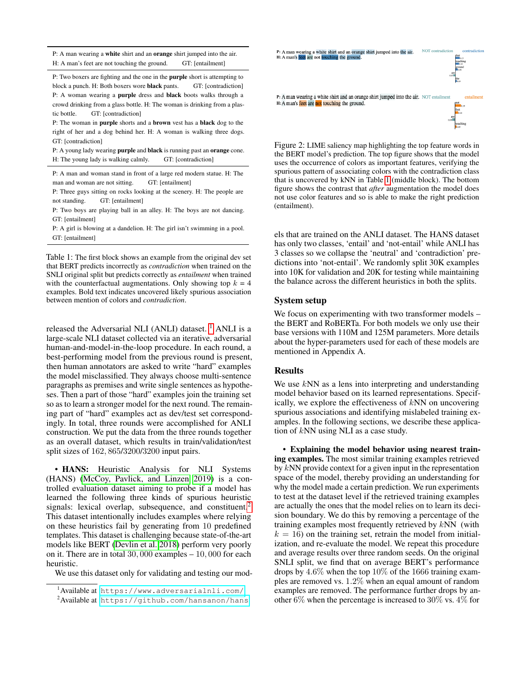<span id="page-3-2"></span>P: A man wearing a white shirt and an orange shirt jumped into the air. H: A man's feet are not touching the ground. GT: [entailment]

P: Two boxers are fighting and the one in the purple short is attempting to block a punch. H: Both boxers wore **black** pants. GT: [contradiction] P: A woman wearing a purple dress and black boots walks through a crowd drinking from a glass bottle. H: The woman is drinking from a plastic bottle. GT: [contradiction]

P: The woman in purple shorts and a brown vest has a black dog to the right of her and a dog behind her. H: A woman is walking three dogs. GT: [contradiction]

P: A young lady wearing purple and black is running past an orange cone. H: The young lady is walking calmly. GT: [contradiction]

P: A man and woman stand in front of a large red modern statue. H: The man and woman are not sitting. GT: [entailment]

P: Three guys sitting on rocks looking at the scenery. H: The people are not standing. GT: [entailment]

P: Two boys are playing ball in an alley. H: The boys are not dancing. GT: [entailment]

P: A girl is blowing at a dandelion. H: The girl isn't swimming in a pool. GT: [entailment]

Table 1: The first block shows an example from the original dev set that BERT predicts incorrectly as *contradiction* when trained on the SNLI original split but predicts correctly as *entailment* when trained with the counterfactual augmentations. Only showing top  $k = 4$ examples. Bold text indicates uncovered likely spurious association between mention of colors and *contradiction*.

released the Adversarial NLI (ANLI) dataset.  $<sup>1</sup>$  $<sup>1</sup>$  $<sup>1</sup>$  ANLI is a</sup> large-scale NLI dataset collected via an iterative, adversarial human-and-model-in-the-loop procedure. In each round, a best-performing model from the previous round is present, then human annotators are asked to write "hard" examples the model misclassified. They always choose multi-sentence paragraphs as premises and write single sentences as hypotheses. Then a part of those "hard" examples join the training set so as to learn a stronger model for the next round. The remaining part of "hard" examples act as dev/test set correspondingly. In total, three rounds were accomplished for ANLI construction. We put the data from the three rounds together as an overall dataset, which results in train/validation/test split sizes of 162, 865/3200/3200 input pairs.

• HANS: Heuristic Analysis for NLI Systems (HANS) [\(McCoy, Pavlick, and Linzen 2019\)](#page-7-22) is a controlled evaluation dataset aiming to probe if a model has learned the following three kinds of spurious heuristic signals: lexical overlap, subsequence, and constituent.<sup>[2](#page-3-1)</sup> This dataset intentionally includes examples where relying on these heuristics fail by generating from 10 predefined templates. This dataset is challenging because state-of-the-art models like BERT [\(Devlin et al. 2018\)](#page-7-8) perform very poorly on it. There are in total 30, 000 examples – 10, 000 for each heuristic.

We use this dataset only for validating and testing our mod-

<span id="page-3-3"></span>

Figure 2: LIME saliency map highlighting the top feature words in the BERT model's prediction. The top figure shows that the model uses the occurrence of colors as important features, verifying the spurious pattern of associating colors with the contradiction class that is uncovered by kNN in Table [1](#page-3-2) (middle block). The bottom figure shows the contrast that *after* augmentation the model does not use color features and so is able to make the right prediction (entailment).

els that are trained on the ANLI dataset. The HANS dataset has only two classes, 'entail' and 'not-entail' while ANLI has 3 classes so we collapse the 'neutral' and 'contradiction' predictions into 'not-entail'. We randomly split 30K examples into 10K for validation and 20K for testing while maintaining the balance across the different heuristics in both the splits.

#### System setup

We focus on experimenting with two transformer models – the BERT and RoBERTa. For both models we only use their base versions with 110M and 125M parameters. More details about the hyper-parameters used for each of these models are mentioned in Appendix A.

#### **Results**

We use  $kNN$  as a lens into interpreting and understanding model behavior based on its learned representations. Specifically, we explore the effectiveness of  $kNN$  on uncovering spurious associations and identifying mislabeled training examples. In the following sections, we describe these application of kNN using NLI as a case study.

• Explaining the model behavior using nearest training examples. The most similar training examples retrieved by kNN provide context for a given input in the representation space of the model, thereby providing an understanding for why the model made a certain prediction. We run experiments to test at the dataset level if the retrieved training examples are actually the ones that the model relies on to learn its decision boundary. We do this by removing a percentage of the training examples most frequently retrieved by  $kNN$  (with  $k = 16$ ) on the training set, retrain the model from initialization, and re-evaluate the model. We repeat this procedure and average results over three random seeds. On the original SNLI split, we find that on average BERT's performance drops by 4.6% when the top 10% of the 1666 training examples are removed vs. 1.2% when an equal amount of random examples are removed. The performance further drops by another 6% when the percentage is increased to 30% vs. 4% for

<span id="page-3-0"></span><sup>1</sup>Available at <https://www.adversarialnli.com/>

<span id="page-3-1"></span><sup>&</sup>lt;sup>2</sup>Available at <https://github.com/hansanon/hans>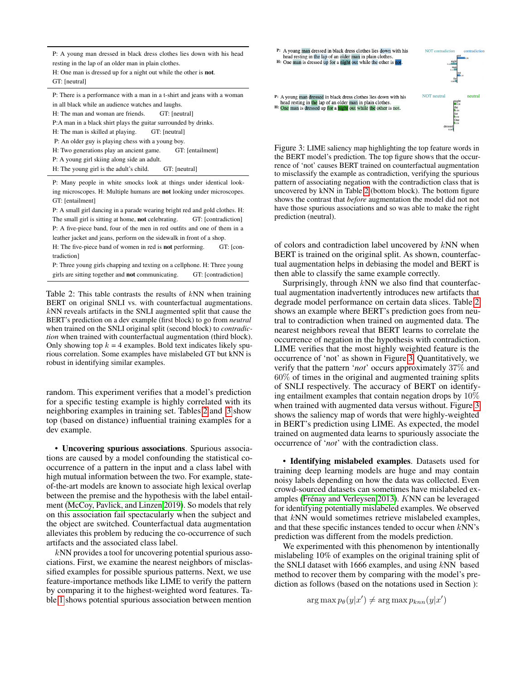<span id="page-4-1"></span>P: A young man dressed in black dress clothes lies down with his head resting in the lap of an older man in plain clothes.

H: One man is dressed up for a night out while the other is not. GT: [neutral]

P: There is a performance with a man in a t-shirt and jeans with a woman in all black while an audience watches and laughs. H: The man and woman are friends. GT: [neutral] P:A man in a black shirt plays the guitar surrounded by drinks. H: The man is skilled at playing. GT: [neutral] P: An older guy is playing chess with a young boy. H: Two generations play an ancient game. GT: [entailment] P: A young girl skiing along side an adult.

H: The young girl is the adult's child. GT: [neutral]

P: Many people in white smocks look at things under identical looking microscopes. H: Multiple humans are not looking under microscopes. GT: [entailment]

P: A small girl dancing in a parade wearing bright red and gold clothes. H: The small girl is sitting at home, **not** celebrating. GT: [contradiction] P: A five-piece band, four of the men in red outfits and one of them in a leather jacket and jeans, perform on the sidewalk in front of a shop.

H: The five-piece band of women in red is **not** performing. GT: [contradiction]

P: Three young girls chapping and texting on a cellphone. H: Three young girls are sitting together and **not** communicating. GT: [contradiction]

Table 2: This table contrasts the results of  $kNN$  when training BERT on original SNLI vs. with counterfactual augmentations. kNN reveals artifacts in the SNLI augmented split that cause the BERT's prediction on a dev example (first block) to go from *neutral* when trained on the SNLI original split (second block) to *contradiction* when trained with counterfactual augmentation (third block). Only showing top  $k = 4$  examples. Bold text indicates likely spurious correlation. Some examples have mislabeled GT but kNN is robust in identifying similar examples.

random. This experiment verifies that a model's prediction for a specific testing example is highly correlated with its neighboring examples in training set. Tables [2](#page-3-3) and [3](#page-4-0) show top (based on distance) influential training examples for a dev example.

• Uncovering spurious associations. Spurious associations are caused by a model confounding the statistical cooccurrence of a pattern in the input and a class label with high mutual information between the two. For example, stateof-the-art models are known to associate high lexical overlap between the premise and the hypothesis with the label entailment [\(McCoy, Pavlick, and Linzen 2019\)](#page-7-22). So models that rely on this association fail spectacularly when the subject and the object are switched. Counterfactual data augmentation alleviates this problem by reducing the co-occurrence of such artifacts and the associated class label.

kNN provides a tool for uncovering potential spurious associations. First, we examine the nearest neighbors of misclassified examples for possible spurious patterns. Next, we use feature-importance methods like LIME to verify the pattern by comparing it to the highest-weighted word features. Table [1](#page-3-2) shows potential spurious association between mention

<span id="page-4-0"></span>

Figure 3: LIME saliency map highlighting the top feature words in the BERT model's prediction. The top figure shows that the occurrence of 'not' causes BERT trained on counterfactual augmentation to misclassify the example as contradiction, verifying the spurious pattern of associating negation with the contradiction class that is uncovered by kNN in Table [2](#page-4-1) (bottom block). The bottom figure shows the contrast that *before* augmentation the model did not not have those spurious associations and so was able to make the right prediction (neutral).

of colors and contradiction label uncovered by  $kNN$  when BERT is trained on the original split. As shown, counterfactual augmentation helps in debiasing the model and BERT is then able to classify the same example correctly.

Surprisingly, through  $kNN$  we also find that counterfactual augmentation inadvertently introduces new artifacts that degrade model performance on certain data slices. Table [2](#page-4-1) shows an example where BERT's prediction goes from neutral to contradiction when trained on augmented data. The nearest neighbors reveal that BERT learns to correlate the occurrence of negation in the hypothesis with contradiction. LIME verifies that the most highly weighted feature is the occurrence of 'not' as shown in Figure [3.](#page-4-0) Quantitatively, we verify that the pattern '*not*' occurs approximately 37% and 60% of times in the original and augmented training splits of SNLI respectively. The accuracy of BERT on identifying entailment examples that contain negation drops by 10% when trained with augmented data versus without. Figure [3](#page-4-0) shows the saliency map of words that were highly-weighted in BERT's prediction using LIME. As expected, the model trained on augmented data learns to spuriously associate the occurrence of '*not*' with the contradiction class.

• Identifying mislabeled examples. Datasets used for training deep learning models are huge and may contain noisy labels depending on how the data was collected. Even crowd-sourced datasets can sometimes have mislabeled examples (Frénay and Verleysen 2013). KNN can be leveraged for identifying potentially mislabeled examples. We observed that kNN would sometimes retrieve mislabeled examples, and that these specific instances tended to occur when kNN's prediction was different from the models prediction.

We experimented with this phenomenon by intentionally mislabeling 10% of examples on the original training split of the SNLI dataset with 1666 examples, and using  $kNN$  based method to recover them by comparing with the model's prediction as follows (based on the notations used in Section ):

 $\arg \max p_{\theta}(y|x') \neq \arg \max p_{knn}(y|x')$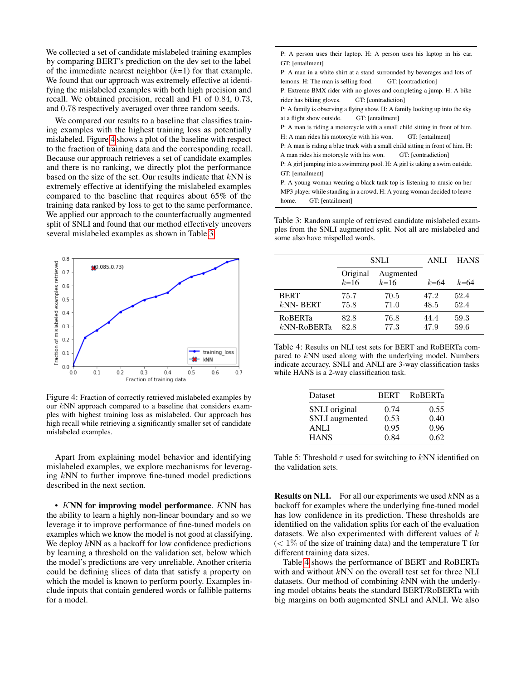We collected a set of candidate mislabeled training examples by comparing BERT's prediction on the dev set to the label of the immediate nearest neighbor  $(k=1)$  for that example. We found that our approach was extremely effective at identifying the mislabeled examples with both high precision and recall. We obtained precision, recall and F1 of 0.84, 0.73, and 0.78 respectively averaged over three random seeds.

We compared our results to a baseline that classifies training examples with the highest training loss as potentially mislabeled. Figure [4](#page-5-0) shows a plot of the baseline with respect to the fraction of training data and the corresponding recall. Because our approach retrieves a set of candidate examples and there is no ranking, we directly plot the performance based on the size of the set. Our results indicate that  $kNN$  is extremely effective at identifying the mislabeled examples compared to the baseline that requires about 65% of the training data ranked by loss to get to the same performance. We applied our approach to the counterfactually augmented split of SNLI and found that our method effectively uncovers several mislabeled examples as shown in Table [3.](#page-5-1)

<span id="page-5-0"></span>

Figure 4: Fraction of correctly retrieved mislabeled examples by our kNN approach compared to a baseline that considers examples with highest training loss as mislabeled. Our approach has high recall while retrieving a significantly smaller set of candidate mislabeled examples.

Apart from explaining model behavior and identifying mislabeled examples, we explore mechanisms for leveraging kNN to further improve fine-tuned model predictions described in the next section.

• KNN for improving model performance. KNN has the ability to learn a highly non-linear boundary and so we leverage it to improve performance of fine-tuned models on examples which we know the model is not good at classifying. We deploy  $kNN$  as a backoff for low confidence predictions by learning a threshold on the validation set, below which the model's predictions are very unreliable. Another criteria could be defining slices of data that satisfy a property on which the model is known to perform poorly. Examples include inputs that contain gendered words or fallible patterns for a model.

<span id="page-5-1"></span>

| P: A person uses their laptop. H: A person uses his laptop in his car.         |  |  |  |  |
|--------------------------------------------------------------------------------|--|--|--|--|
| GT: [entailment]                                                               |  |  |  |  |
| P: A man in a white shirt at a stand surrounded by beverages and lots of       |  |  |  |  |
| lemons. H: The man is selling food. GT: [contradiction]                        |  |  |  |  |
| P: Extreme BMX rider with no gloves and completing a jump. H: A bike           |  |  |  |  |
| rider has biking gloves. GT: [contradiction]                                   |  |  |  |  |
| P: A family is observing a flying show. H: A family looking up into the sky    |  |  |  |  |
| at a flight show outside. GT: [entailment]                                     |  |  |  |  |
| P: A man is riding a motorcycle with a small child sitting in front of him.    |  |  |  |  |
| H: A man rides his motorcyle with his won. GT: [entailment]                    |  |  |  |  |
| P: A man is riding a blue truck with a small child sitting in front of him. H: |  |  |  |  |
| A man rides his motorcyle with his won. GT: [contradiction]                    |  |  |  |  |
| P: A girl jumping into a swimming pool. H: A girl is taking a swim outside.    |  |  |  |  |
| GT: [entailment]                                                               |  |  |  |  |
| P: A young woman wearing a black tank top is listening to music on her         |  |  |  |  |
| MP3 player while standing in a crowd. H: A young woman decided to leave        |  |  |  |  |

home. GT: [entailment]

Table 3: Random sample of retrieved candidate mislabeled examples from the SNLI augmented split. Not all are mislabeled and some also have mispelled words.

<span id="page-5-2"></span>

|                | <b>SNLI</b>        |                       | ANLI     | <b>HANS</b> |
|----------------|--------------------|-----------------------|----------|-------------|
|                | Original<br>$k=16$ | Augmented<br>$k = 16$ | $k = 64$ | $k = 64$    |
| <b>BERT</b>    | 75.7               | 70.5                  | 47.2     | 52.4        |
| $kNN-$ BERT    | 75.8               | 71.0                  | 48.5     | 52.4        |
| <b>RoBERTa</b> | 82.8               | 76.8                  | 44.4     | 59.3        |
| $kNN-RoBERTa$  | 82.8               | 77.3                  | 47.9     | 59.6        |

Table 4: Results on NLI test sets for BERT and RoBERTa compared to kNN used along with the underlying model. Numbers indicate accuracy. SNLI and ANLI are 3-way classification tasks while HANS is a 2-way classification task.

| Dataset        | <b>BERT</b> | RoBERTa |
|----------------|-------------|---------|
| SNLI original  | 0.74        | 0.55    |
| SNLI augmented | 0.53        | 0.40    |
| <b>ANLI</b>    | 0.95        | 0.96    |
| <b>HANS</b>    | 0.84        | 0.62    |

Table 5: Threshold  $\tau$  used for switching to kNN identified on the validation sets.

**Results on NLI.** For all our experiments we used  $kNN$  as a backoff for examples where the underlying fine-tuned model has low confidence in its prediction. These thresholds are identified on the validation splits for each of the evaluation datasets. We also experimented with different values of  $k$  $(< 1\%$  of the size of training data) and the temperature T for different training data sizes.

Table [4](#page-5-2) shows the performance of BERT and RoBERTa with and without kNN on the overall test set for three NLI datasets. Our method of combining kNN with the underlying model obtains beats the standard BERT/RoBERTa with big margins on both augmented SNLI and ANLI. We also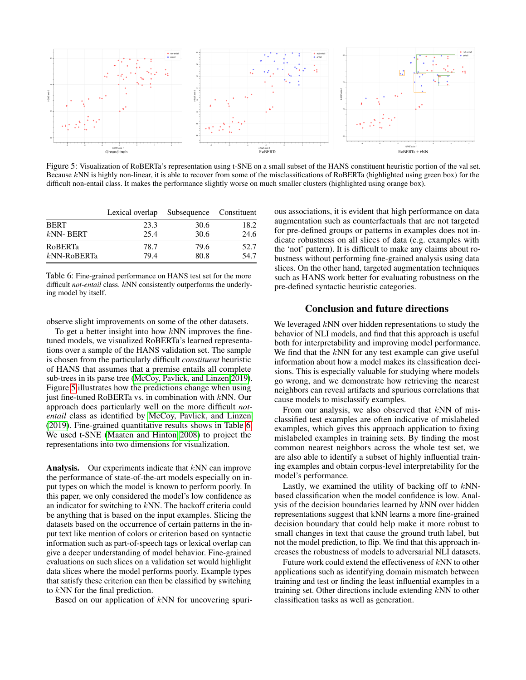<span id="page-6-0"></span>

Figure 5: Visualization of RoBERTa's representation using t-SNE on a small subset of the HANS constituent heuristic portion of the val set. Because kNN is highly non-linear, it is able to recover from some of the misclassifications of RoBERTa (highlighted using green box) for the difficult non-entail class. It makes the performance slightly worse on much smaller clusters (highlighted using orange box).

<span id="page-6-1"></span>

|                | Lexical overlap Subsequence Constituent |      |      |
|----------------|-----------------------------------------|------|------|
| <b>BERT</b>    | 23.3                                    | 30.6 | 18.2 |
| $kNN-BERT$     | 25.4                                    | 30.6 | 24.6 |
| <b>ROBERTa</b> | 78.7                                    | 79.6 | 52.7 |
| $kNN-RoBERTa$  | 79.4                                    | 80.8 | 54.7 |

Table 6: Fine-grained performance on HANS test set for the more difficult *not-entail* class. kNN consistently outperforms the underlying model by itself.

observe slight improvements on some of the other datasets.

To get a better insight into how  $kNN$  improves the finetuned models, we visualized RoBERTa's learned representations over a sample of the HANS validation set. The sample is chosen from the particularly difficult *constituent* heuristic of HANS that assumes that a premise entails all complete sub-trees in its parse tree [\(McCoy, Pavlick, and Linzen 2019\)](#page-7-22). Figure [5](#page-6-0) illustrates how the predictions change when using just fine-tuned RoBERTa vs. in combination with kNN. Our approach does particularly well on the more difficult *notentail* class as identified by [McCoy, Pavlick, and Linzen](#page-7-22) [\(2019\)](#page-7-22). Fine-grained quantitative results shows in Table [6.](#page-6-1) We used t-SNE [\(Maaten and Hinton 2008\)](#page-7-29) to project the representations into two dimensions for visualization.

**Analysis.** Our experiments indicate that  $kNN$  can improve the performance of state-of-the-art models especially on input types on which the model is known to perform poorly. In this paper, we only considered the model's low confidence as an indicator for switching to kNN. The backoff criteria could be anything that is based on the input examples. Slicing the datasets based on the occurrence of certain patterns in the input text like mention of colors or criterion based on syntactic information such as part-of-speech tags or lexical overlap can give a deeper understanding of model behavior. Fine-grained evaluations on such slices on a validation set would highlight data slices where the model performs poorly. Example types that satisfy these criterion can then be classified by switching to kNN for the final prediction.

Based on our application of kNN for uncovering spuri-

ous associations, it is evident that high performance on data augmentation such as counterfactuals that are not targeted for pre-defined groups or patterns in examples does not indicate robustness on all slices of data (e.g. examples with the 'not' pattern). It is difficult to make any claims about robustness without performing fine-grained analysis using data slices. On the other hand, targeted augmentation techniques such as HANS work better for evaluating robustness on the pre-defined syntactic heuristic categories.

## Conclusion and future directions

We leveraged  $kNN$  over hidden representations to study the behavior of NLI models, and find that this approach is useful both for interpretability and improving model performance. We find that the  $kNN$  for any test example can give useful information about how a model makes its classification decisions. This is especially valuable for studying where models go wrong, and we demonstrate how retrieving the nearest neighbors can reveal artifacts and spurious correlations that cause models to misclassify examples.

From our analysis, we also observed that  $kNN$  of misclassified test examples are often indicative of mislabeled examples, which gives this approach application to fixing mislabeled examples in training sets. By finding the most common nearest neighbors across the whole test set, we are also able to identify a subset of highly influential training examples and obtain corpus-level interpretability for the model's performance.

Lastly, we examined the utility of backing off to kNNbased classification when the model confidence is low. Analysis of the decision boundaries learned by kNN over hidden representations suggest that kNN learns a more fine-grained decision boundary that could help make it more robust to small changes in text that cause the ground truth label, but not the model prediction, to flip. We find that this approach increases the robustness of models to adversarial NLI datasets.

Future work could extend the effectiveness of kNN to other applications such as identifying domain mismatch between training and test or finding the least influential examples in a training set. Other directions include extending kNN to other classification tasks as well as generation.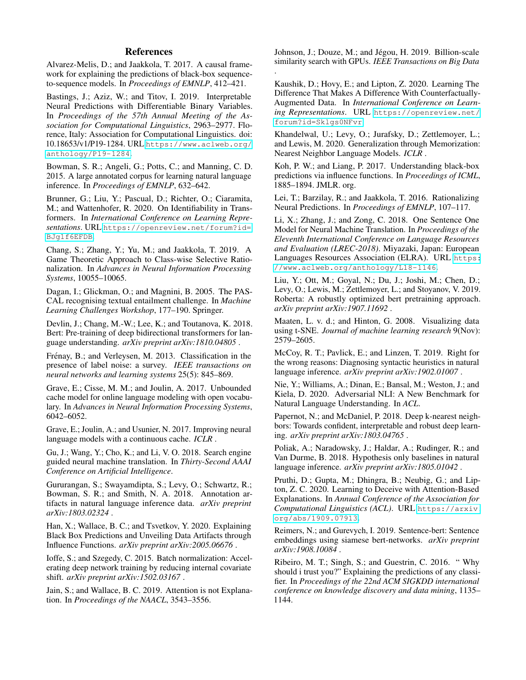## References

<span id="page-7-6"></span>Alvarez-Melis, D.; and Jaakkola, T. 2017. A causal framework for explaining the predictions of black-box sequenceto-sequence models. In *Proceedings of EMNLP*, 412–421.

<span id="page-7-1"></span>Bastings, J.; Aziz, W.; and Titov, I. 2019. Interpretable Neural Predictions with Differentiable Binary Variables. In *Proceedings of the 57th Annual Meeting of the Association for Computational Linguistics*, 2963–2977. Florence, Italy: Association for Computational Linguistics. doi: 10.18653/v1/P19-1284. URL [https://www.aclweb.org/](https://www.aclweb.org/anthology/P19-1284) [anthology/P19-1284](https://www.aclweb.org/anthology/P19-1284).

<span id="page-7-19"></span>Bowman, S. R.; Angeli, G.; Potts, C.; and Manning, C. D. 2015. A large annotated corpus for learning natural language inference. In *Proceedings of EMNLP*, 632–642.

<span id="page-7-2"></span>Brunner, G.; Liu, Y.; Pascual, D.; Richter, O.; Ciaramita, M.; and Wattenhofer, R. 2020. On Identifiability in Transformers. In *International Conference on Learning Representations*. URL [https://openreview.net/forum?id=](https://openreview.net/forum?id=BJg1f6EFDB) [BJg1f6EFDB](https://openreview.net/forum?id=BJg1f6EFDB).

<span id="page-7-11"></span>Chang, S.; Zhang, Y.; Yu, M.; and Jaakkola, T. 2019. A Game Theoretic Approach to Class-wise Selective Rationalization. In *Advances in Neural Information Processing Systems*, 10055–10065.

<span id="page-7-26"></span>Dagan, I.; Glickman, O.; and Magnini, B. 2005. The PAS-CAL recognising textual entailment challenge. In *Machine Learning Challenges Workshop*, 177–190. Springer.

<span id="page-7-8"></span>Devlin, J.; Chang, M.-W.; Lee, K.; and Toutanova, K. 2018. Bert: Pre-training of deep bidirectional transformers for language understanding. *arXiv preprint arXiv:1810.04805* .

<span id="page-7-28"></span>Frénay, B.; and Verleysen, M. 2013. Classification in the presence of label noise: a survey. *IEEE transactions on neural networks and learning systems* 25(5): 845–869.

<span id="page-7-14"></span>Grave, E.; Cisse, M. M.; and Joulin, A. 2017. Unbounded cache model for online language modeling with open vocabulary. In *Advances in Neural Information Processing Systems*, 6042–6052.

<span id="page-7-13"></span>Grave, E.; Joulin, A.; and Usunier, N. 2017. Improving neural language models with a continuous cache. *ICLR* .

<span id="page-7-12"></span>Gu, J.; Wang, Y.; Cho, K.; and Li, V. O. 2018. Search engine guided neural machine translation. In *Thirty-Second AAAI Conference on Artificial Intelligence*.

<span id="page-7-20"></span>Gururangan, S.; Swayamdipta, S.; Levy, O.; Schwartz, R.; Bowman, S. R.; and Smith, N. A. 2018. Annotation artifacts in natural language inference data. *arXiv preprint arXiv:1803.02324* .

<span id="page-7-7"></span>Han, X.; Wallace, B. C.; and Tsvetkov, Y. 2020. Explaining Black Box Predictions and Unveiling Data Artifacts through Influence Functions. *arXiv preprint arXiv:2005.06676* .

<span id="page-7-25"></span>Ioffe, S.; and Szegedy, C. 2015. Batch normalization: Accelerating deep network training by reducing internal covariate shift. *arXiv preprint arXiv:1502.03167* .

<span id="page-7-10"></span>Jain, S.; and Wallace, B. C. 2019. Attention is not Explanation. In *Proceedings of the NAACL*, 3543–3556.

<span id="page-7-9"></span>Johnson, J.; Douze, M.; and Jégou, H. 2019. Billion-scale similarity search with GPUs. *IEEE Transactions on Big Data* .

<span id="page-7-23"></span>Kaushik, D.; Hovy, E.; and Lipton, Z. 2020. Learning The Difference That Makes A Difference With Counterfactually-Augmented Data. In *International Conference on Learning Representations*. URL [https://openreview.net/](https://openreview.net/forum?id=Sklgs0NFvr) [forum?id=Sklgs0NFvr](https://openreview.net/forum?id=Sklgs0NFvr).

<span id="page-7-15"></span>Khandelwal, U.; Levy, O.; Jurafsky, D.; Zettlemoyer, L.; and Lewis, M. 2020. Generalization through Memorization: Nearest Neighbor Language Models. *ICLR* .

<span id="page-7-4"></span>Koh, P. W.; and Liang, P. 2017. Understanding black-box predictions via influence functions. In *Proceedings of ICML*, 1885–1894. JMLR. org.

<span id="page-7-0"></span>Lei, T.; Barzilay, R.; and Jaakkola, T. 2016. Rationalizing Neural Predictions. In *Proceedings of EMNLP*, 107–117.

<span id="page-7-18"></span>Li, X.; Zhang, J.; and Zong, C. 2018. One Sentence One Model for Neural Machine Translation. In *Proceedings of the Eleventh International Conference on Language Resources and Evaluation (LREC-2018)*. Miyazaki, Japan: European Languages Resources Association (ELRA). URL [https:](https://www.aclweb.org/anthology/L18-1146) [//www.aclweb.org/anthology/L18-1146](https://www.aclweb.org/anthology/L18-1146).

<span id="page-7-17"></span>Liu, Y.; Ott, M.; Goyal, N.; Du, J.; Joshi, M.; Chen, D.; Levy, O.; Lewis, M.; Zettlemoyer, L.; and Stoyanov, V. 2019. Roberta: A robustly optimized bert pretraining approach. *arXiv preprint arXiv:1907.11692* .

<span id="page-7-29"></span>Maaten, L. v. d.; and Hinton, G. 2008. Visualizing data using t-SNE. *Journal of machine learning research* 9(Nov): 2579–2605.

<span id="page-7-22"></span>McCoy, R. T.; Pavlick, E.; and Linzen, T. 2019. Right for the wrong reasons: Diagnosing syntactic heuristics in natural language inference. *arXiv preprint arXiv:1902.01007* .

<span id="page-7-27"></span>Nie, Y.; Williams, A.; Dinan, E.; Bansal, M.; Weston, J.; and Kiela, D. 2020. Adversarial NLI: A New Benchmark for Natural Language Understanding. In *ACL*.

<span id="page-7-16"></span>Papernot, N.; and McDaniel, P. 2018. Deep k-nearest neighbors: Towards confident, interpretable and robust deep learning. *arXiv preprint arXiv:1803.04765* .

<span id="page-7-21"></span>Poliak, A.; Naradowsky, J.; Haldar, A.; Rudinger, R.; and Van Durme, B. 2018. Hypothesis only baselines in natural language inference. *arXiv preprint arXiv:1805.01042* .

<span id="page-7-3"></span>Pruthi, D.; Gupta, M.; Dhingra, B.; Neubig, G.; and Lipton, Z. C. 2020. Learning to Deceive with Attention-Based Explanations. In *Annual Conference of the Association for Computational Linguistics (ACL)*. URL [https://arxiv.](https://arxiv.org/abs/1909.07913) [org/abs/1909.07913](https://arxiv.org/abs/1909.07913).

<span id="page-7-24"></span>Reimers, N.; and Gurevych, I. 2019. Sentence-bert: Sentence embeddings using siamese bert-networks. *arXiv preprint arXiv:1908.10084* .

<span id="page-7-5"></span>Ribeiro, M. T.; Singh, S.; and Guestrin, C. 2016. " Why should i trust you?" Explaining the predictions of any classifier. In *Proceedings of the 22nd ACM SIGKDD international conference on knowledge discovery and data mining*, 1135– 1144.